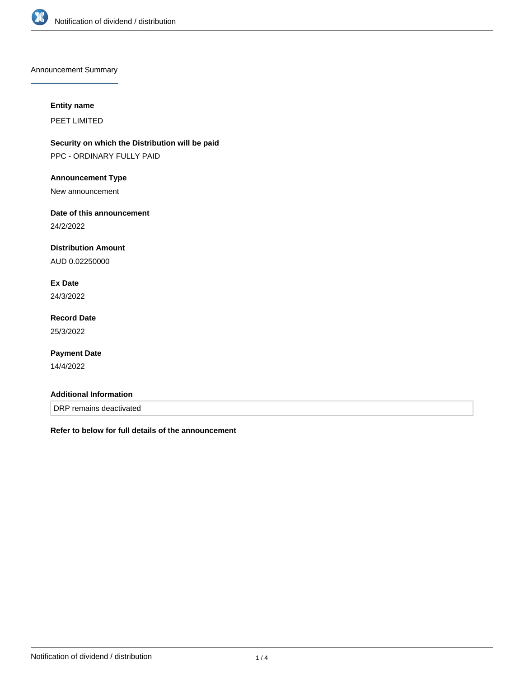

Announcement Summary

### **Entity name**

PEET LIMITED

**Security on which the Distribution will be paid** PPC - ORDINARY FULLY PAID

### **Announcement Type**

New announcement

### **Date of this announcement**

24/2/2022

## **Distribution Amount**

AUD 0.02250000

# **Ex Date**

24/3/2022

# **Record Date** 25/3/2022

### **Payment Date**

14/4/2022

#### **Additional Information**

DRP remains deactivated

**Refer to below for full details of the announcement**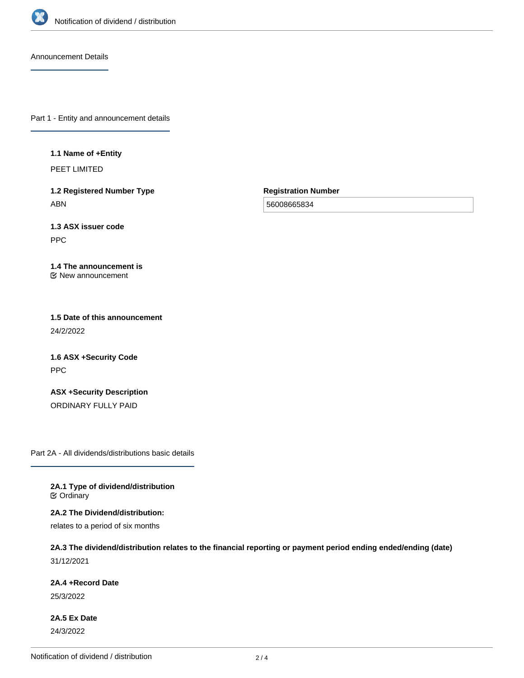

Announcement Details

Part 1 - Entity and announcement details

**1.1 Name of +Entity**

PEET LIMITED

**1.2 Registered Number Type** ABN

**Registration Number**

56008665834

**1.3 ASX issuer code** PPC

**1.4 The announcement is** New announcement

**1.5 Date of this announcement** 24/2/2022

**1.6 ASX +Security Code** PPC

**ASX +Security Description** ORDINARY FULLY PAID

Part 2A - All dividends/distributions basic details

**2A.1 Type of dividend/distribution C** Ordinary

**2A.2 The Dividend/distribution:** relates to a period of six months

**2A.3 The dividend/distribution relates to the financial reporting or payment period ending ended/ending (date)** 31/12/2021

**2A.4 +Record Date**

25/3/2022

**2A.5 Ex Date** 24/3/2022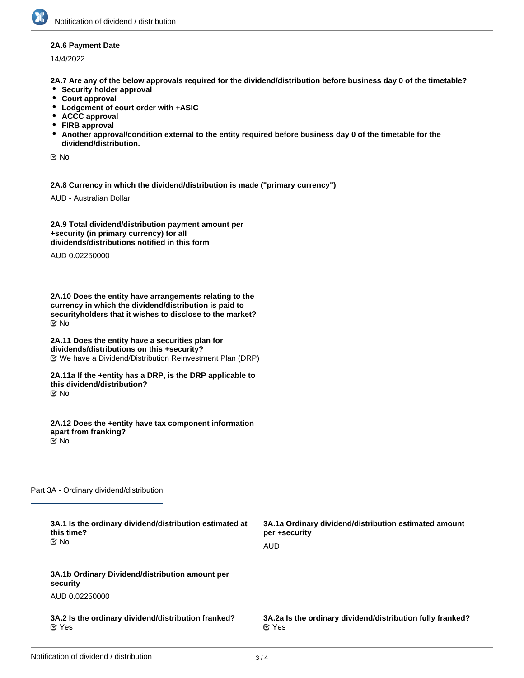#### **2A.6 Payment Date**

14/4/2022

**2A.7 Are any of the below approvals required for the dividend/distribution before business day 0 of the timetable?**

- **•** Security holder approval
- **Court approval**
- **Lodgement of court order with +ASIC**
- **ACCC approval**
- **FIRB approval**
- **Another approval/condition external to the entity required before business day 0 of the timetable for the dividend/distribution.**

No

**2A.8 Currency in which the dividend/distribution is made ("primary currency")**

AUD - Australian Dollar

**2A.9 Total dividend/distribution payment amount per +security (in primary currency) for all dividends/distributions notified in this form**

AUD 0.02250000

**2A.10 Does the entity have arrangements relating to the currency in which the dividend/distribution is paid to securityholders that it wishes to disclose to the market?** No

**2A.11 Does the entity have a securities plan for dividends/distributions on this +security?** We have a Dividend/Distribution Reinvestment Plan (DRP)

**2A.11a If the +entity has a DRP, is the DRP applicable to this dividend/distribution?** No

**2A.12 Does the +entity have tax component information apart from franking?** No

Part 3A - Ordinary dividend/distribution

| 3A.1 Is the ordinary dividend/distribution estimated at<br>this time?<br>় No | 3A.1a Ordinary dividend/distribution estimated amount<br>per +security<br><b>AUD</b> |
|-------------------------------------------------------------------------------|--------------------------------------------------------------------------------------|
| 3A.1b Ordinary Dividend/distribution amount per<br>security                   |                                                                                      |
| AUD 0.02250000                                                                |                                                                                      |
| 3A.2 Is the ordinary dividend/distribution franked?<br>$\alpha$ Yes           | 3A.2a Is the ordinary dividend/distribution fully franked?<br>$\alpha$ Yes           |